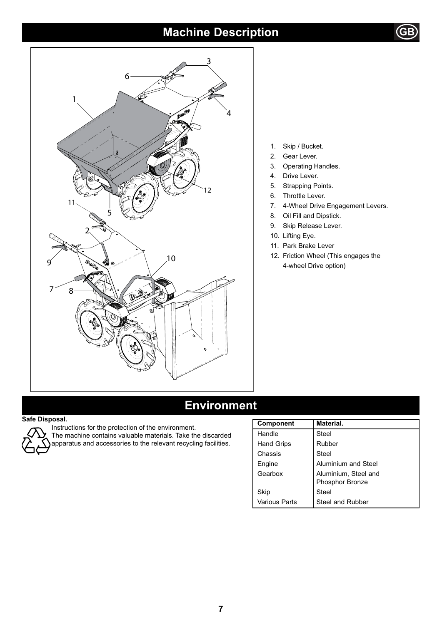# **Machine Description**





- 1. Skip / Bucket.
- 2. Gear Lever.
- 3. Operating Handles.
- 4. Drive Lever.
- 5. Strapping Points.
- 6. Throttle Lever.
- 7. 4-Wheel Drive Engagement Levers.
- 8. Oil Fill and Dipstick.
- 9. Skip Release Lever.
- 10. Lifting Eye.
- 11. Park Brake Lever
- 12. Friction Wheel (This engages the 4-wheel Drive option)

# **Environment**

#### **Safe Disposal.**



### Instructions for the protection of the environment. The machine contains valuable materials. Take the discarded

apparatus and accessories to the relevant recycling facilities.

| <b>Component</b>  | Material.            |
|-------------------|----------------------|
| Handle            | Steel                |
| <b>Hand Grips</b> | Rubber               |
| Chassis           | Steel                |
| Engine            | Aluminium and Steel  |
| Gearbox           | Aluminium, Steel and |
|                   | Phosphor Bronze      |
| Skip              | Steel                |
| Various Parts     | Steel and Rubber     |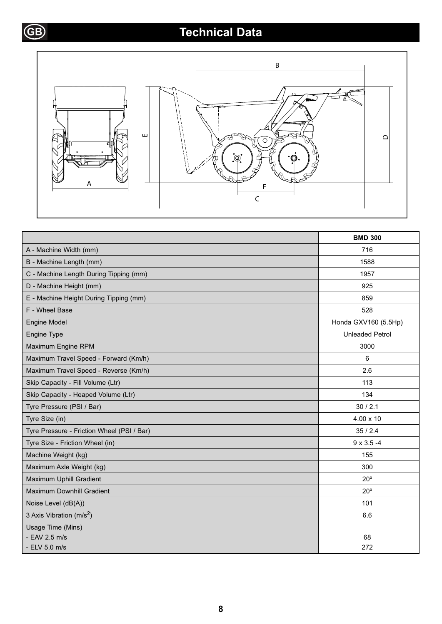# **GB Technical Data**



|                                            | <b>BMD 300</b>         |
|--------------------------------------------|------------------------|
| A - Machine Width (mm)                     | 716                    |
| B - Machine Length (mm)                    | 1588                   |
| C - Machine Length During Tipping (mm)     | 1957                   |
| D - Machine Height (mm)                    | 925                    |
| E - Machine Height During Tipping (mm)     | 859                    |
| F - Wheel Base                             | 528                    |
| <b>Engine Model</b>                        | Honda GXV160 (5.5Hp)   |
| Engine Type                                | <b>Unleaded Petrol</b> |
| Maximum Engine RPM                         | 3000                   |
| Maximum Travel Speed - Forward (Km/h)      | 6                      |
| Maximum Travel Speed - Reverse (Km/h)      | 2.6                    |
| Skip Capacity - Fill Volume (Ltr)          | 113                    |
| Skip Capacity - Heaped Volume (Ltr)        | 134                    |
| Tyre Pressure (PSI / Bar)                  | 30/2.1                 |
| Tyre Size (in)                             | $4.00 \times 10$       |
| Tyre Pressure - Friction Wheel (PSI / Bar) | 35/2.4                 |
| Tyre Size - Friction Wheel (in)            | $9 \times 3.5 - 4$     |
| Machine Weight (kg)                        | 155                    |
| Maximum Axle Weight (kg)                   | 300                    |
| Maximum Uphill Gradient                    | $20^{\circ}$           |
| Maximum Downhill Gradient                  | $20^{\circ}$           |
| Noise Level (dB(A))                        | 101                    |
| 3 Axis Vibration (m/s <sup>2</sup> )       | 6.6                    |
| Usage Time (Mins)                          |                        |
| - EAV 2.5 m/s                              | 68                     |
| - ELV 5.0 m/s                              | 272                    |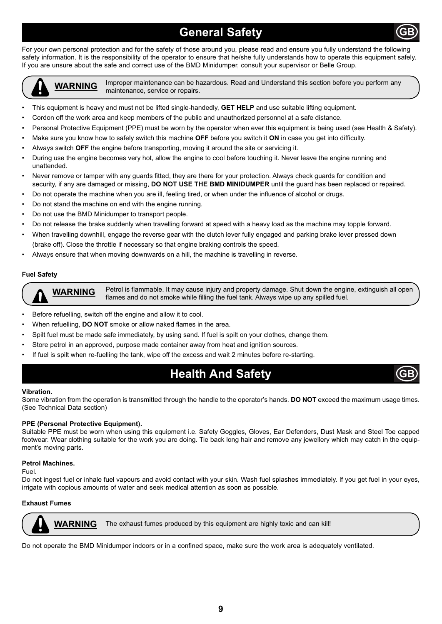# **General Safety**

For your own personal protection and for the safety of those around you, please read and ensure you fully understand the following safety information. It is the responsibility of the operator to ensure that he/she fully understands how to operate this equipment safely. If you are unsure about the safe and correct use of the BMD Minidumper, consult your supervisor or Belle Group.



**WARNING** Improper maintenance can be hazardous. Read and Understand this section before you perform any maintenance, service or repairs.

- This equipment is heavy and must not be lifted single-handedly, **GET HELP** and use suitable lifting equipment.
- Cordon off the work area and keep members of the public and unauthorized personnel at a safe distance.
- Personal Protective Equipment (PPE) must be worn by the operator when ever this equipment is being used (see Health & Safety).
- Make sure you know how to safely switch this machine **OFF** before you switch it **ON** in case you get into difficulty.
- Always switch **OFF** the engine before transporting, moving it around the site or servicing it.
- During use the engine becomes very hot, allow the engine to cool before touching it. Never leave the engine running and unattended.
- Never remove or tamper with any quards fitted, they are there for your protection. Always check quards for condition and security, if any are damaged or missing, **DO NOT USE THE BMD MINIDUMPER** until the guard has been replaced or repaired.
- Do not operate the machine when you are ill, feeling tired, or when under the influence of alcohol or drugs.
- Do not stand the machine on end with the engine running.
- Do not use the BMD Minidumper to transport people.
- Do not release the brake suddenly when travelling forward at speed with a heavy load as the machine may topple forward.
- When travelling downhill, engage the reverse gear with the clutch lever fully engaged and parking brake lever pressed down (brake off). Close the throttle if necessary so that engine braking controls the speed.
- Always ensure that when moving downwards on a hill, the machine is travelling in reverse.

#### **Fuel Safety**

Petrol is flammable. It may cause injury and property damage. Shut down the engine, extinguish all open **WARNING** Petrol is flammable. It may cause injury and property damage. Shut down the engir<br>flames and do not smoke while filling the fuel tank. Always wipe up any spilled fuel.

- Before refuelling, switch off the engine and allow it to cool.
- When refuelling, **DO NOT** smoke or allow naked flames in the area.
- Spilt fuel must be made safe immediately, by using sand. If fuel is spilt on your clothes, change them.
- Store petrol in an approved, purpose made container away from heat and ignition sources.
- If fuel is spilt when re-fuelling the tank, wipe off the excess and wait 2 minutes before re-starting.

### **Health And Safety**

#### **Vibration.**

Some vibration from the operation is transmitted through the handle to the operator's hands. **DO NOT** exceed the maximum usage times. (See Technical Data section)

#### **PPE (Personal Protective Equipment).**

Suitable PPE must be worn when using this equipment i.e. Safety Goggles, Gloves, Ear Defenders, Dust Mask and Steel Toe capped footwear. Wear clothing suitable for the work you are doing. Tie back long hair and remove any jewellery which may catch in the equipment's moving parts.

#### **Petrol Machines.**

#### Fuel.

Do not ingest fuel or inhale fuel vapours and avoid contact with your skin. Wash fuel splashes immediately. If you get fuel in your eyes, irrigate with copious amounts of water and seek medical attention as soon as possible.

#### **Exhaust Fumes**



**WARNING** The exhaust fumes produced by this equipment are highly toxic and can kill!

Do not operate the BMD Minidumper indoors or in a confined space, make sure the work area is adequately ventilated.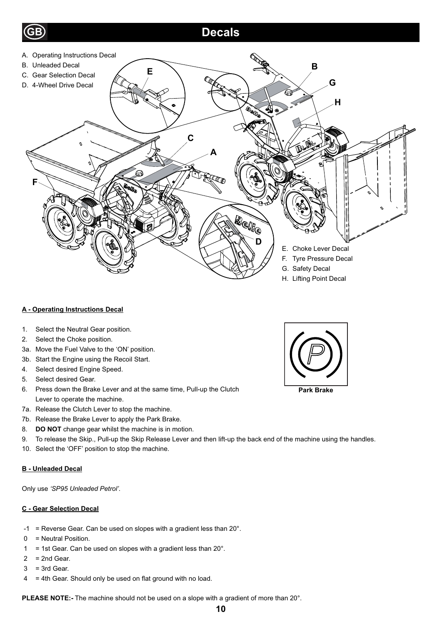

# **A - Operating Instructions Decal**

- 1. Select the Neutral Gear position.
- 2. Select the Choke position.
- 3a. Move the Fuel Valve to the 'ON' position.
- 3b. Start the Engine using the Recoil Start.
- 4. Select desired Engine Speed.
- 5. Select desired Gear.
- 6. Press down the Brake Lever and at the same time, Pull-up the Clutch Lever to operate the machine.
- 7a. Release the Clutch Lever to stop the machine.
- 7b. Release the Brake Lever to apply the Park Brake.
- 8. **DO NOT** change gear whilst the machine is in motion.
- 9. To release the Skip., Pull-up the Skip Release Lever and then lift-up the back end of the machine using the handles.
- 10. Select the 'OFF' position to stop the machine.

#### **B - Unleaded Decal**

Only use *'SP95 Unleaded Petrol'*.

#### **C - Gear Selection Decal**

- $-1$  = Reverse Gear. Can be used on slopes with a gradient less than 20 $^{\circ}$ .
- 0 = Neutral Position.
- 1 = 1st Gear. Can be used on slopes with a gradient less than  $20^\circ$ .
- $2 = 2nd$  Gear.
- $3 = 3rd$  Gear.
- $4 = 4$ th Gear. Should only be used on flat ground with no load.

**PLEASE NOTE:-** The machine should not be used on a slope with a gradient of more than 20°.



**Park Brake**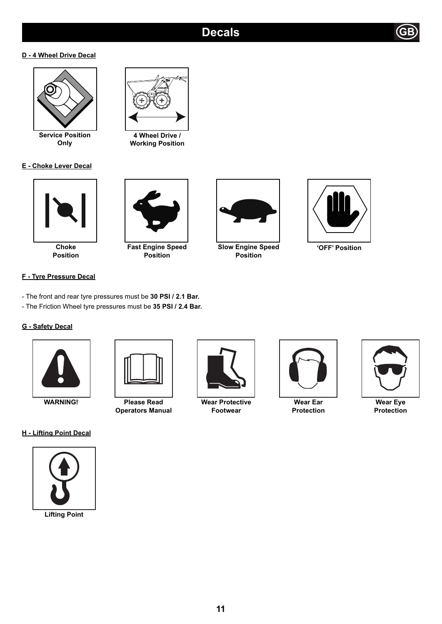### **D - 4 Wheel Drive Decal**



**Service Position Only**

### **E - Choke Lever Decal**



**Position**

### **F - Tyre Pressure Decal**

- The front and rear tyre pressures must be **30 PSI / 2.1 Bar.**
- The Friction Wheel tyre pressures must be **35 PSI / 2.4 Bar.**

### **G - Safety Decal**



**WARNING! Please Read Operators Manual**

### **H - Lifting Point Decal**







**4 Wheel Drive / Working Position**



**Slow Engine Speed Position**



**'OFF' Position**



**Wear Protective Footwear**



**Wear Ear Protection**



**Wear Eye Protection**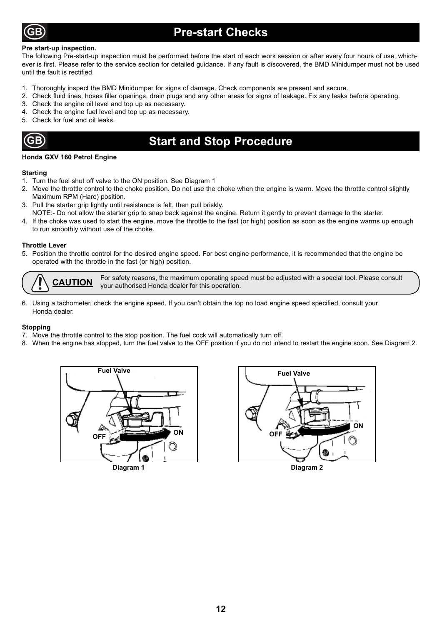

## **Pre-start Checks**

#### **Pre start-up inspection.**

The following Pre-start-up inspection must be performed before the start of each work session or after every four hours of use, whichever is first. Please refer to the service section for detailed quidance. If any fault is discovered, the BMD Minidumper must not be used until the fault is rectified.

- 1. Thoroughly inspect the BMD Minidumper for signs of damage. Check components are present and secure.
- 2. Check fluid lines, hoses filler openings, drain plugs and any other areas for signs of leakage. Fix any leaks before operating.
- 3. Check the engine oil level and top up as necessary.
- 4. Check the engine fuel level and top up as necessary.
- 5. Check for fuel and oil leaks.

### **Start and Stop Procedure**

#### **Honda GXV 160 Petrol Engine**

#### **Starting**

- 1. Turn the fuel shut off valve to the ON position. See Diagram 1
- 2. Move the throttle control to the choke position. Do not use the choke when the engine is warm. Move the throttle control slightly Maximum RPM (Hare) position.
- 3. Pull the starter grip lightly until resistance is felt, then pull briskly.
- NOTE:- Do not allow the starter grip to snap back against the engine. Return it gently to prevent damage to the starter.
- 4. If the choke was used to start the engine, move the throttle to the fast (or high) position as soon as the engine warms up enough to run smoothly without use of the choke.

#### **Throttle Lever**

5. Position the throttle control for the desired engine speed. For best engine performance, it is recommended that the engine be operated with the throttle in the fast (or high) position.

For safety reasons, the maximum operating speed must be adjusted with a special tool. Please consult **CAUTION** your authorised Honda dealer for this operation.

6. Using a tachometer, check the engine speed. If you can't obtain the top no load engine speed specified, consult your Honda dealer.

#### **Stopping**

- 7. Move the throttle control to the stop position. The fuel cock will automatically turn off.
- 8. When the engine has stopped, turn the fuel valve to the OFF position if you do not intend to restart the engine soon. See Diagram 2.



**Diagram 1**



**Diagram 2**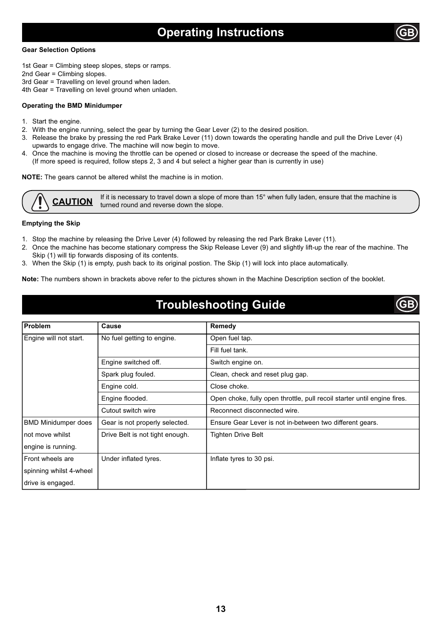#### **Gear Selection Options**

1st Gear = Climbing steep slopes, steps or ramps.

2nd Gear = Climbing slopes.

3rd Gear = Travelling on level ground when laden.

4th Gear = Travelling on level ground when unladen.

#### **Operating the BMD Minidumper**

- 1. Start the engine.
- 2. With the engine running, select the gear by turning the Gear Lever (2) to the desired position.
- 3. Release the brake by pressing the red Park Brake Lever (11) down towards the operating handle and pull the Drive Lever (4) upwards to engage drive. The machine will now begin to move.
- 4. Once the machine is moving the throttle can be opened or closed to increase or decrease the speed of the machine. (If more speed is required, follow steps 2, 3 and 4 but select a higher gear than is currently in use)

**NOTE:** The gears cannot be altered whilst the machine is in motion.

**CAUTION** If it is necessary to travel down a slope of more than 15° when fully laden, ensure that the machine is turned round and reverse down the slope.

#### **Emptying the Skip**

engine is running.

drive is engaged.

spinning whilst 4-wheel

1. Stop the machine by releasing the Drive Lever (4) followed by releasing the red Park Brake Lever (11).

Front wheels are **Under inflated tyres.** Inflate tyres to 30 psi.

- 2. Once the machine has become stationary compress the Skip Release Lever (9) and slightly lift-up the rear of the machine. The Skip (1) will tip forwards disposing of its contents.
- 3. When the Skip (1) is empty, push back to its original postion. The Skip (1) will lock into place automatically.

**Note:** The numbers shown in brackets above refer to the pictures shown in the Machine Description section of the booklet.

### **Troubleshooting Guide**

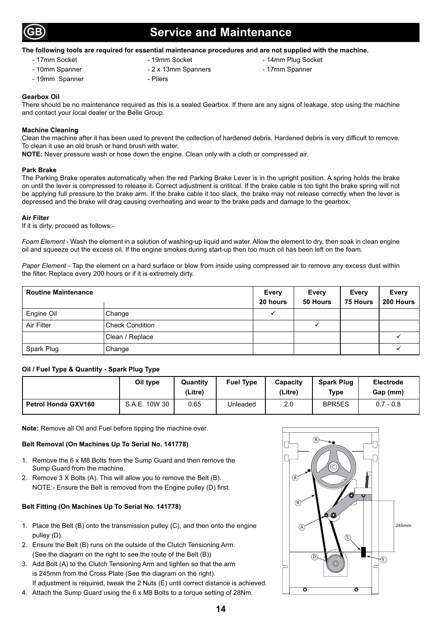

### **Service and Maintenance**

#### **The following tools are required for essential maintenance procedures and are not supplied with the machine.**

- 
- 
- 
- 

- 17mm Socket - 19mm Socket - 19mm Socket - 14mm Plug Socket

- 10mm Spanner 2 x 13mm Spanners 17mm Spanners
- 19mm Spanner Pliers
- **Gearbox Oil**

There should be no maintenance required as this is a sealed Gearbox. If there are any signs of leakage, stop using the machine and contact your local dealer or the Belle Group.

#### **Machine Cleaning**

Clean the machine after it has been used to prevent the collection of hardened debris. Hardened debris is very difficult to remove. To clean it use an old brush or hand brush with water.

**NOTE:** Never pressure wash or hose down the engine. Clean only with a cloth or compressed air.

#### **Park Brake**

The Parking Brake operates automatically when the red Parking Brake Lever is in the upright position. A spring holds the brake on until the lever is compressed to release it. Correct adjustment is crititcal. If the brake cable is too tight the brake spring will not be applying full pressure to the brake arm. If the brake cable it too slack, the brake may not release correctly when the lever is depressed and the brake will drag causing overheating and wear to the brake pads and damage to the gearbox.

#### **Air Filter**

If it is dirty, proceed as follows:-

*Foam Element* - Wash the element in a solution of washing-up liquid and water. Allow the element to dry, then soak in clean engine oil and squeeze out the excess oil. If the engine smokes during start-up then too much oil has been left on the foam.

*Paper Element* - Tap the element on a hard surface or blow from inside using compressed air to remove any excess dust within the filter. Replace every 200 hours or if it is extremely dirty.

| <b>Routine Maintenance</b> |                        | Every<br>20 hours | <b>Every</b><br>50 Hours | <b>Every</b><br><b>75 Hours</b> | <b>Every</b><br>200 Hours |
|----------------------------|------------------------|-------------------|--------------------------|---------------------------------|---------------------------|
| Engine Oil                 | Change                 |                   |                          |                                 |                           |
| Air Filter                 | <b>Check Condition</b> |                   |                          |                                 |                           |
|                            | Clean / Replace        |                   |                          |                                 |                           |
| Spark Plug                 | Change                 |                   |                          |                                 |                           |

#### **Oil / Fuel Type & Quantity - Spark Plug Type**

|                            | Oil type      | Quantity<br>(Litre) | <b>Fuel Type</b> | Capacity<br>(Litre) | <b>Spark Plug</b><br>Type | <b>Electrode</b><br>Gap (mm) |
|----------------------------|---------------|---------------------|------------------|---------------------|---------------------------|------------------------------|
| <b>Petrol Honda GXV160</b> | S.A.E. 10W 30 | 0.65                | Unleaded         | 2.0                 | BPR <sub>5ES</sub>        | $0.7 - 0.8$                  |

**Note:** Remove all Oil and Fuel before tipping the machine over.

#### **Belt Removal (On Machines Up To Serial No. 141778)**

- 1. Remove the 6 x M8 Bolts from the Sump Guard and then remove the Sump Guard from the machine.
- 2. Remove 3 X Bolts (A). This will allow you to remove the Belt (B). NOTE:- Ensure the Belt is removed from the Engine pulley (D) first.

#### **Belt Fitting (On Machines Up To Serial No. 141778)**

- 1. Place the Belt (B) onto the transmission pulley (C), and then onto the engine pulley (D).
- 2. Ensure the Belt (B) runs on the outside of the Clutch Tensioning Arm. (See the diagram on the right to see the route of the Belt (B))
- 3. Add Bolt (A) to the Clutch Tensioning Arm and tighten so that the arm is 245mm from the Cross Plate (See the diagram on the right). If adjustment is required, tweak the 2 Nuts (E) until correct distance is achieved.
- 4. Attach the Sump Guard using the 6 x M8 Bolts to a torque setting of 28Nm.

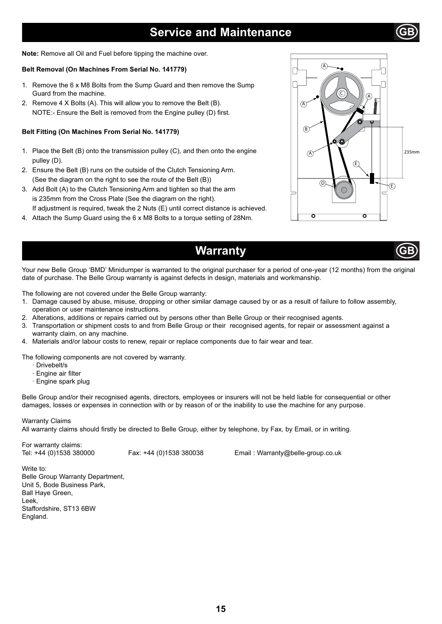### **Service and Maintenance**

**Note:** Remove all Oil and Fuel before tipping the machine over.

#### **Belt Removal (On Machines From Serial No. 141779)**

- 1. Remove the 6 x M8 Bolts from the Sump Guard and then remove the Sump Guard from the machine.
- 2. Remove 4 X Bolts (A). This will allow you to remove the Belt (B). NOTE:- Ensure the Belt is removed from the Engine pulley (D) first.

#### **Belt Fitting (On Machines From Serial No. 141779)**

- 1. Place the Belt (B) onto the transmission pulley (C), and then onto the engine pulley (D).
- 2. Ensure the Belt (B) runs on the outside of the Clutch Tensioning Arm. (See the diagram on the right to see the route of the Belt (B))
- 3. Add Bolt (A) to the Clutch Tensioning Arm and tighten so that the arm is 235mm from the Cross Plate (See the diagram on the right). If adjustment is required, tweak the 2 Nuts (E) until correct distance is achieved.
- 4. Attach the Sump Guard using the 6 x M8 Bolts to a torque setting of 28Nm.



# **Warranty**



Your new Belle Group 'BMD' Minidumper is warranted to the original purchaser for a period of one-year (12 months) from the original date of purchase. The Belle Group warranty is against defects in design, materials and workmanship.

The following are not covered under the Belle Group warranty:

- 1. Damage caused by abuse, misuse, dropping or other similar damage caused by or as a result of failure to follow assembly, operation or user maintenance instructions.
- 2. Alterations, additions or repairs carried out by persons other than Belle Group or their recognised agents.
- 3. Transportation or shipment costs to and from Belle Group or their recognised agents, for repair or assessment against a warranty claim, on any machine.
- 4. Materials and/or labour costs to renew, repair or replace components due to fair wear and tear.

The following components are not covered by warranty.

- · Drivebelt/s
- · Engine air filter
- · Engine spark plug

Belle Group and/or their recognised agents, directors, employees or insurers will not be held liable for consequential or other damages, losses or expenses in connection with or by reason of or the inability to use the machine for any purpose.

Warranty Claims

All warranty claims should firstly be directed to Belle Group, either by telephone, by Fax, by Email, or in writing.

For warranty claims:

Tel: +44 (0)1538 380000 Fax: +44 (0)1538 380038 Email : Warranty@belle-group.co.uk

Write to: Belle Group Warranty Department, Unit 5, Bode Business Park, Ball Haye Green, Leek, Staffordshire, ST13 6BW England.